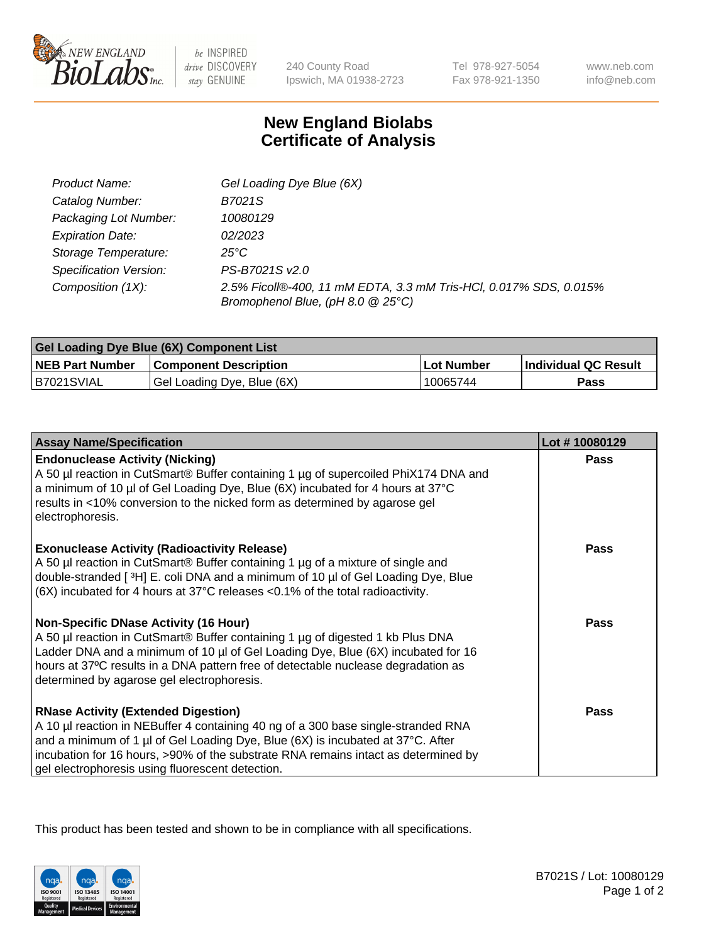

 $be$  INSPIRED drive DISCOVERY stay GENUINE

240 County Road Ipswich, MA 01938-2723 Tel 978-927-5054 Fax 978-921-1350 www.neb.com info@neb.com

## **New England Biolabs Certificate of Analysis**

| Product Name:           | Gel Loading Dye Blue (6X)                                                                              |
|-------------------------|--------------------------------------------------------------------------------------------------------|
| Catalog Number:         | B7021S                                                                                                 |
| Packaging Lot Number:   | 10080129                                                                                               |
| <b>Expiration Date:</b> | 02/2023                                                                                                |
| Storage Temperature:    | 25°C                                                                                                   |
| Specification Version:  | PS-B7021S v2.0                                                                                         |
| Composition (1X):       | 2.5% Ficoll®-400, 11 mM EDTA, 3.3 mM Tris-HCl, 0.017% SDS, 0.015%<br>Bromophenol Blue, (pH 8.0 @ 25°C) |

| <b>Gel Loading Dye Blue (6X) Component List</b> |                              |            |                      |  |
|-------------------------------------------------|------------------------------|------------|----------------------|--|
| <b>NEB Part Number</b>                          | <b>Component Description</b> | Lot Number | Individual QC Result |  |
| B7021SVIAL                                      | Gel Loading Dye, Blue (6X)   | 10065744   | Pass                 |  |

| <b>Assay Name/Specification</b>                                                                                                                                                                                                                                                                                                                              | Lot #10080129 |
|--------------------------------------------------------------------------------------------------------------------------------------------------------------------------------------------------------------------------------------------------------------------------------------------------------------------------------------------------------------|---------------|
| <b>Endonuclease Activity (Nicking)</b><br>A 50 µl reaction in CutSmart® Buffer containing 1 µg of supercoiled PhiX174 DNA and<br>a minimum of 10 µl of Gel Loading Dye, Blue (6X) incubated for 4 hours at 37°C<br>results in <10% conversion to the nicked form as determined by agarose gel<br>electrophoresis.                                            | <b>Pass</b>   |
| <b>Exonuclease Activity (Radioactivity Release)</b><br>A 50 µl reaction in CutSmart® Buffer containing 1 µg of a mixture of single and<br>double-stranded [3H] E. coli DNA and a minimum of 10 µl of Gel Loading Dye, Blue<br>$(6X)$ incubated for 4 hours at 37 $^{\circ}$ C releases <0.1% of the total radioactivity.                                     | <b>Pass</b>   |
| <b>Non-Specific DNase Activity (16 Hour)</b><br>A 50 µl reaction in CutSmart® Buffer containing 1 µg of digested 1 kb Plus DNA<br>Ladder DNA and a minimum of 10 µl of Gel Loading Dye, Blue (6X) incubated for 16<br>hours at 37°C results in a DNA pattern free of detectable nuclease degradation as<br>determined by agarose gel electrophoresis.        | <b>Pass</b>   |
| <b>RNase Activity (Extended Digestion)</b><br>A 10 µl reaction in NEBuffer 4 containing 40 ng of a 300 base single-stranded RNA<br>and a minimum of 1 µl of Gel Loading Dye, Blue (6X) is incubated at 37°C. After<br>incubation for 16 hours, >90% of the substrate RNA remains intact as determined by<br>gel electrophoresis using fluorescent detection. | <b>Pass</b>   |

This product has been tested and shown to be in compliance with all specifications.